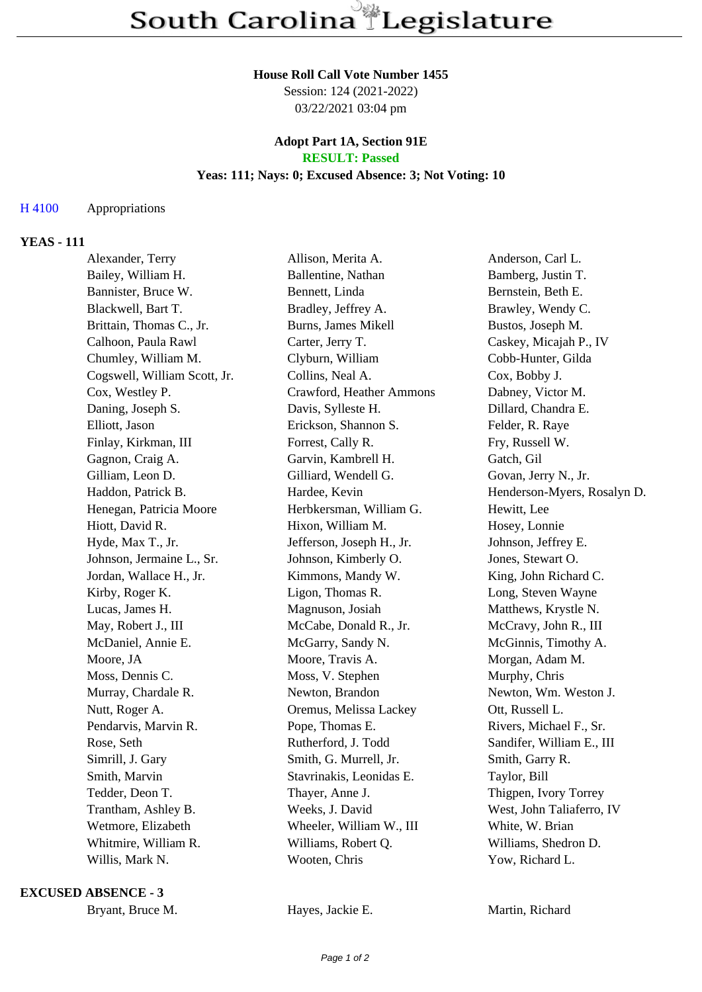#### **House Roll Call Vote Number 1455**

Session: 124 (2021-2022) 03/22/2021 03:04 pm

#### **Adopt Part 1A, Section 91E RESULT: Passed**

# **Yeas: 111; Nays: 0; Excused Absence: 3; Not Voting: 10**

## H 4100 Appropriations

## **YEAS - 111**

| Alexander, Terry             | Allison, Merita A.        | Anderson, Carl L.           |
|------------------------------|---------------------------|-----------------------------|
| Bailey, William H.           | Ballentine, Nathan        | Bamberg, Justin T.          |
| Bannister, Bruce W.          | Bennett, Linda            | Bernstein, Beth E.          |
| Blackwell, Bart T.           | Bradley, Jeffrey A.       | Brawley, Wendy C.           |
| Brittain, Thomas C., Jr.     | Burns, James Mikell       | Bustos, Joseph M.           |
| Calhoon, Paula Rawl          | Carter, Jerry T.          | Caskey, Micajah P., IV      |
| Chumley, William M.          | Clyburn, William          | Cobb-Hunter, Gilda          |
| Cogswell, William Scott, Jr. | Collins, Neal A.          | Cox, Bobby J.               |
| Cox, Westley P.              | Crawford, Heather Ammons  | Dabney, Victor M.           |
| Daning, Joseph S.            | Davis, Sylleste H.        | Dillard, Chandra E.         |
| Elliott, Jason               | Erickson, Shannon S.      | Felder, R. Raye             |
| Finlay, Kirkman, III         | Forrest, Cally R.         | Fry, Russell W.             |
| Gagnon, Craig A.             | Garvin, Kambrell H.       | Gatch, Gil                  |
| Gilliam, Leon D.             | Gilliard, Wendell G.      | Govan, Jerry N., Jr.        |
| Haddon, Patrick B.           | Hardee, Kevin             | Henderson-Myers, Rosalyn D. |
| Henegan, Patricia Moore      | Herbkersman, William G.   | Hewitt, Lee                 |
| Hiott, David R.              | Hixon, William M.         | Hosey, Lonnie               |
| Hyde, Max T., Jr.            | Jefferson, Joseph H., Jr. | Johnson, Jeffrey E.         |
| Johnson, Jermaine L., Sr.    | Johnson, Kimberly O.      | Jones, Stewart O.           |
| Jordan, Wallace H., Jr.      | Kimmons, Mandy W.         | King, John Richard C.       |
| Kirby, Roger K.              | Ligon, Thomas R.          | Long, Steven Wayne          |
| Lucas, James H.              | Magnuson, Josiah          | Matthews, Krystle N.        |
| May, Robert J., III          | McCabe, Donald R., Jr.    | McCravy, John R., III       |
| McDaniel, Annie E.           | McGarry, Sandy N.         | McGinnis, Timothy A.        |
| Moore, JA                    | Moore, Travis A.          | Morgan, Adam M.             |
| Moss, Dennis C.              | Moss, V. Stephen          | Murphy, Chris               |
| Murray, Chardale R.          | Newton, Brandon           | Newton, Wm. Weston J.       |
| Nutt, Roger A.               | Oremus, Melissa Lackey    | Ott, Russell L.             |
| Pendarvis, Marvin R.         | Pope, Thomas E.           | Rivers, Michael F., Sr.     |
| Rose, Seth                   | Rutherford, J. Todd       | Sandifer, William E., III   |
| Simrill, J. Gary             | Smith, G. Murrell, Jr.    | Smith, Garry R.             |
| Smith, Marvin                | Stavrinakis, Leonidas E.  | Taylor, Bill                |
| Tedder, Deon T.              | Thayer, Anne J.           | Thigpen, Ivory Torrey       |
| Trantham, Ashley B.          | Weeks, J. David           | West, John Taliaferro, IV   |
| Wetmore, Elizabeth           | Wheeler, William W., III  | White, W. Brian             |
| Whitmire, William R.         | Williams, Robert Q.       | Williams, Shedron D.        |
| Willis, Mark N.              | Wooten, Chris             | Yow, Richard L.             |

#### **EXCUSED ABSENCE - 3**

Bryant, Bruce M. **Hayes, Jackie E.** Martin, Richard